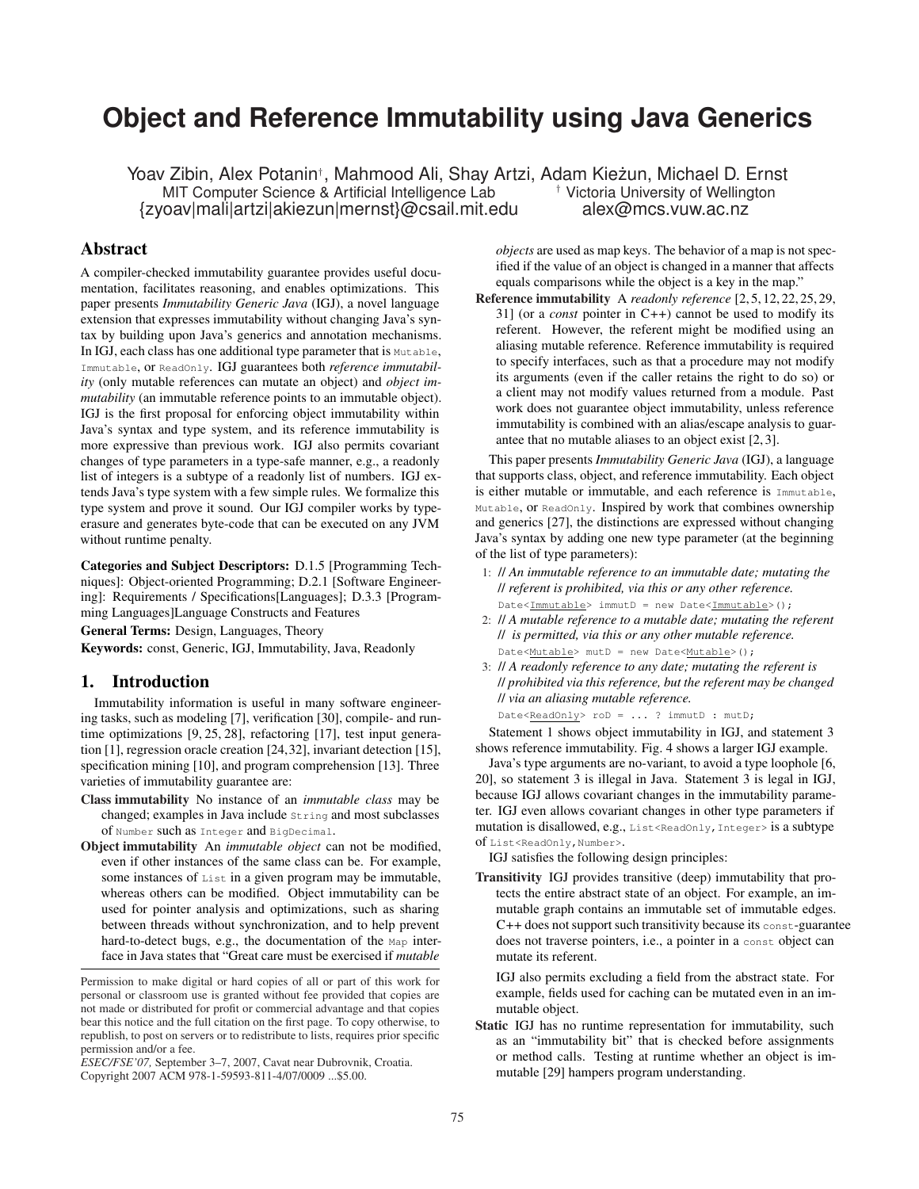# **Object and Reference Immutability using Java Generics**

Yoav Zibin, Alex Potanin<sup>†</sup>, Mahmood Ali, Shay Artzi, Adam Kieżun, Michael D. Ernst MIT Computer Science & Artificial Intelligence Lab  $\qquad$ <sup>†</sup> Victoria University of Wellington {zyoav|mali|artzi|akiezun|mernst}@csail.mit.edu alex@mcs.vuw.ac.nz

#### Abstract

A compiler-checked immutability guarantee provides useful documentation, facilitates reasoning, and enables optimizations. This paper presents *Immutability Generic Java* (IGJ), a novel language extension that expresses immutability without changing Java's syntax by building upon Java's generics and annotation mechanisms. In IGJ, each class has one additional type parameter that is Mutable, Immutable, or ReadOnly. IGJ guarantees both *reference immutability* (only mutable references can mutate an object) and *object immutability* (an immutable reference points to an immutable object). IGJ is the first proposal for enforcing object immutability within Java's syntax and type system, and its reference immutability is more expressive than previous work. IGJ also permits covariant changes of type parameters in a type-safe manner, e.g., a readonly list of integers is a subtype of a readonly list of numbers. IGJ extends Java's type system with a few simple rules. We formalize this type system and prove it sound. Our IGJ compiler works by typeerasure and generates byte-code that can be executed on any JVM without runtime penalty.

Categories and Subject Descriptors: D.1.5 [Programming Techniques]: Object-oriented Programming; D.2.1 [Software Engineering]: Requirements / Specifications[Languages]; D.3.3 [Programming Languages]Language Constructs and Features

General Terms: Design, Languages, Theory

Keywords: const, Generic, IGJ, Immutability, Java, Readonly

#### 1. Introduction

Immutability information is useful in many software engineering tasks, such as modeling [7], verification [30], compile- and runtime optimizations [9, 25, 28], refactoring [17], test input generation [1], regression oracle creation [24,32], invariant detection [15], specification mining [10], and program comprehension [13]. Three varieties of immutability guarantee are:

- Class immutability No instance of an *immutable class* may be changed; examples in Java include String and most subclasses of Number such as Integer and BigDecimal.
- Object immutability An *immutable object* can not be modified, even if other instances of the same class can be. For example, some instances of List in a given program may be immutable, whereas others can be modified. Object immutability can be used for pointer analysis and optimizations, such as sharing between threads without synchronization, and to help prevent hard-to-detect bugs, e.g., the documentation of the Map interface in Java states that "Great care must be exercised if *mutable*

*objects* are used as map keys. The behavior of a map is not specified if the value of an object is changed in a manner that affects equals comparisons while the object is a key in the map."

Reference immutability A *readonly reference* [2, 5, 12, 22, 25, 29, 31] (or a *const* pointer in C++) cannot be used to modify its referent. However, the referent might be modified using an aliasing mutable reference. Reference immutability is required to specify interfaces, such as that a procedure may not modify its arguments (even if the caller retains the right to do so) or a client may not modify values returned from a module. Past work does not guarantee object immutability, unless reference immutability is combined with an alias/escape analysis to guarantee that no mutable aliases to an object exist [2, 3].

This paper presents *Immutability Generic Java* (IGJ), a language that supports class, object, and reference immutability. Each object is either mutable or immutable, and each reference is Immutable, Mutable, or ReadOnly. Inspired by work that combines ownership and generics [27], the distinctions are expressed without changing Java's syntax by adding one new type parameter (at the beginning of the list of type parameters):

- 1: // *An immutable reference to an immutable date; mutating the* // *referent is prohibited, via this or any other reference.* Date<Immutable> immutD = new Date<Immutable>();
- 2: // *A mutable reference to a mutable date; mutating the referent* // *is permitted, via this or any other mutable reference.* Date<Mutable> mutD = new Date<Mutable>();
- 3: // *A readonly reference to any date; mutating the referent is* // *prohibited via this reference, but the referent may be changed* // *via an aliasing mutable reference.* Date<ReadOnly> roD = ... ? immutD : mutD;

Statement 1 shows object immutability in IGJ, and statement 3 shows reference immutability. Fig. 4 shows a larger IGJ example.

Java's type arguments are no-variant, to avoid a type loophole [6, 20], so statement 3 is illegal in Java. Statement 3 is legal in IGJ, because IGJ allows covariant changes in the immutability parameter. IGJ even allows covariant changes in other type parameters if mutation is disallowed, e.g., List<ReadOnly, Integer> is a subtype of List<ReadOnly,Number>.

IGJ satisfies the following design principles:

Transitivity IGJ provides transitive (deep) immutability that protects the entire abstract state of an object. For example, an immutable graph contains an immutable set of immutable edges. C++ does not support such transitivity because its const-guarantee does not traverse pointers, i.e., a pointer in a const object can mutate its referent.

IGJ also permits excluding a field from the abstract state. For example, fields used for caching can be mutated even in an immutable object.

Static IGJ has no runtime representation for immutability, such as an "immutability bit" that is checked before assignments or method calls. Testing at runtime whether an object is immutable [29] hampers program understanding.

Permission to make digital or hard copies of all or part of this work for personal or classroom use is granted without fee provided that copies are not made or distributed for profit or commercial advantage and that copies bear this notice and the full citation on the first page. To copy otherwise, to republish, to post on servers or to redistribute to lists, requires prior specific permission and/or a fee.

*ESEC/FSE'07,* September 3–7, 2007, Cavat near Dubrovnik, Croatia. Copyright 2007 ACM 978-1-59593-811-4/07/0009 ...\$5.00.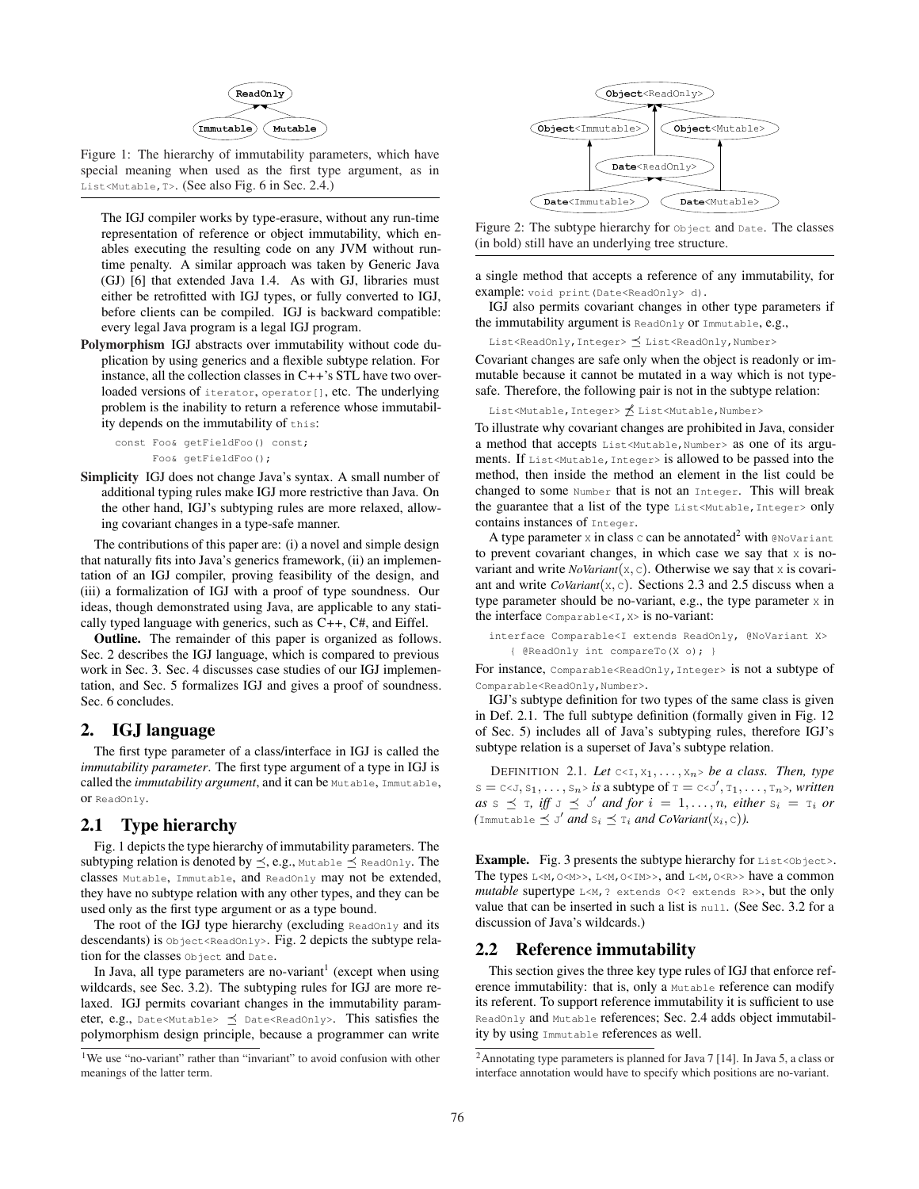

Figure 1: The hierarchy of immutability parameters, which have special meaning when used as the first type argument, as in List<Mutable,T>. (See also Fig. 6 in Sec. 2.4.)

The IGJ compiler works by type-erasure, without any run-time representation of reference or object immutability, which enables executing the resulting code on any JVM without runtime penalty. A similar approach was taken by Generic Java (GJ) [6] that extended Java 1.4. As with GJ, libraries must either be retrofitted with IGJ types, or fully converted to IGJ, before clients can be compiled. IGJ is backward compatible: every legal Java program is a legal IGJ program. Figure 1: The binarity continues of the latter is a single term. For example, the latter is a single continue of the latter is a single continue of the latter is a single continue of the latter is a single continue of the

Polymorphism IGJ abstracts over immutability without code duplication by using generics and a flexible subtype relation. For instance, all the collection classes in C++'s STL have two overloaded versions of iterator, operator[], etc. The underlying problem is the inability to return a reference whose immutability depends on the immutability of this:

const Foo& getFieldFoo() const;

Foo& getFieldFoo();

Simplicity IGJ does not change Java's syntax. A small number of additional typing rules make IGJ more restrictive than Java. On the other hand, IGJ's subtyping rules are more relaxed, allowing covariant changes in a type-safe manner.

The contributions of this paper are: (i) a novel and simple design that naturally fits into Java's generics framework, (ii) an implementation of an IGJ compiler, proving feasibility of the design, and (iii) a formalization of IGJ with a proof of type soundness. Our ideas, though demonstrated using Java, are applicable to any statically typed language with generics, such as  $C_{++}$ ,  $C_{+}$ , and Eiffel.

Outline. The remainder of this paper is organized as follows. Sec. 2 describes the IGJ language, which is compared to previous work in Sec. 3. Sec. 4 discusses case studies of our IGJ implementation, and Sec. 5 formalizes IGJ and gives a proof of soundness. Sec. 6 concludes.

# 2. IGJ language

The first type parameter of a class/interface in IGJ is called the *immutability parameter*. The first type argument of a type in IGJ is called the *immutability argument*, and it can be Mutable, Immutable, or ReadOnly.

# 2.1 Type hierarchy

Fig. 1 depicts the type hierarchy of immutability parameters. The subtyping relation is denoted by  $\preceq$ , e.g., Mutable  $\preceq$  ReadOnly. The classes Mutable, Immutable, and ReadOnly may not be extended, they have no subtype relation with any other types, and they can be used only as the first type argument or as a type bound.

The root of the IGJ type hierarchy (excluding ReadOnly and its descendants) is  $\text{Object} \leq \text{ReadOnly}$ . Fig. 2 depicts the subtype relation for the classes Object and Date.

In Java, all type parameters are no-variant<sup>1</sup> (except when using wildcards, see Sec. 3.2). The subtyping rules for IGJ are more relaxed. IGJ permits covariant changes in the immutability parameter, e.g., Date<Mutable>  $\prec$  Date<ReadOnly>. This satisfies the polymorphism design principle, because a programmer can write



Figure 2: The subtype hierarchy for Object and Date. The classes (in bold) still have an underlying tree structure.

a single method that accepts a reference of any immutability, for example: void print(Date<ReadOnly> d).

IGJ also permits covariant changes in other type parameters if the immutability argument is ReadOnly or Immutable, e.g.,

List<ReadOnly, Integer>  $\preceq$  List<ReadOnly, Number>

Covariant changes are safe only when the object is readonly or immutable because it cannot be mutated in a way which is not typesafe. Therefore, the following pair is not in the subtype relation:

List<Mutable, Integer>  $\not\preceq$  List<Mutable, Number>

To illustrate why covariant changes are prohibited in Java, consider a method that accepts List<Mutable, Number> as one of its arguments. If List<Mutable, Integer> is allowed to be passed into the method, then inside the method an element in the list could be changed to some Number that is not an Integer. This will break the guarantee that a list of the type List<Mutable, Integer> only contains instances of Integer.

A type parameter x in class c can be annotated<sup>2</sup> with  $\omega$ NoVariant to prevent covariant changes, in which case we say that  $x$  is novariant and write  $No Variant(x, c)$ . Otherwise we say that x is covariant and write *CoVariant*(X, C). Sections 2.3 and 2.5 discuss when a type parameter should be no-variant, e.g., the type parameter  $x$  in the interface  $\text{Compare} \times I$ ,  $X >$  is no-variant:

```
interface Comparable<I extends ReadOnly, @NoVariant X>
   { @ReadOnly int compareTo(X o); }
```
For instance, Comparable<ReadOnly, Integer> is not a subtype of Comparable<ReadOnly,Number>.

IGJ's subtype definition for two types of the same class is given in Def. 2.1. The full subtype definition (formally given in Fig. 12 of Sec. 5) includes all of Java's subtyping rules, therefore IGJ's subtype relation is a superset of Java's subtype relation.

DEFINITION 2.1. Let  $c < I$ ,  $X_1, \ldots, X_n$  *be a class. Then, type*  $s = c < J, s<sub>1</sub>, \ldots, s<sub>n</sub> > is$  a subtype of  $\tau = c < J', \tau<sub>1</sub>, \ldots, \tau<sub>n</sub> >, written$  $as \ s \preceq$  **T**, iff  $J \preceq J'$  and for  $i = 1, ..., n$ , either  $s_i = r_i$  or  $(\text{Immutable} \preceq J' \text{ and } S_i \preceq T_i \text{ and } \text{Covariant}(X_i, c)).$ 

Example. Fig. 3 presents the subtype hierarchy for List<Object>. The types  $L \le M$ ,  $O \le M >>$ ,  $L \le M$ ,  $O \le IM >>$ , and  $L \le M$ ,  $O \le R >>$  have a common *mutable* supertype L<M, ? extends 0<? extends R>>, but the only value that can be inserted in such a list is null. (See Sec. 3.2 for a discussion of Java's wildcards.)

# 2.2 Reference immutability

This section gives the three key type rules of IGJ that enforce reference immutability: that is, only a Mutable reference can modify its referent. To support reference immutability it is sufficient to use ReadOnly and Mutable references; Sec. 2.4 adds object immutability by using Immutable references as well.

<sup>&</sup>lt;sup>1</sup>We use "no-variant" rather than "invariant" to avoid confusion with other

<sup>&</sup>lt;sup>2</sup> Annotating type parameters is planned for Java 7 [14]. In Java 5, a class or interface annotation would have to specify which positions are no-variant.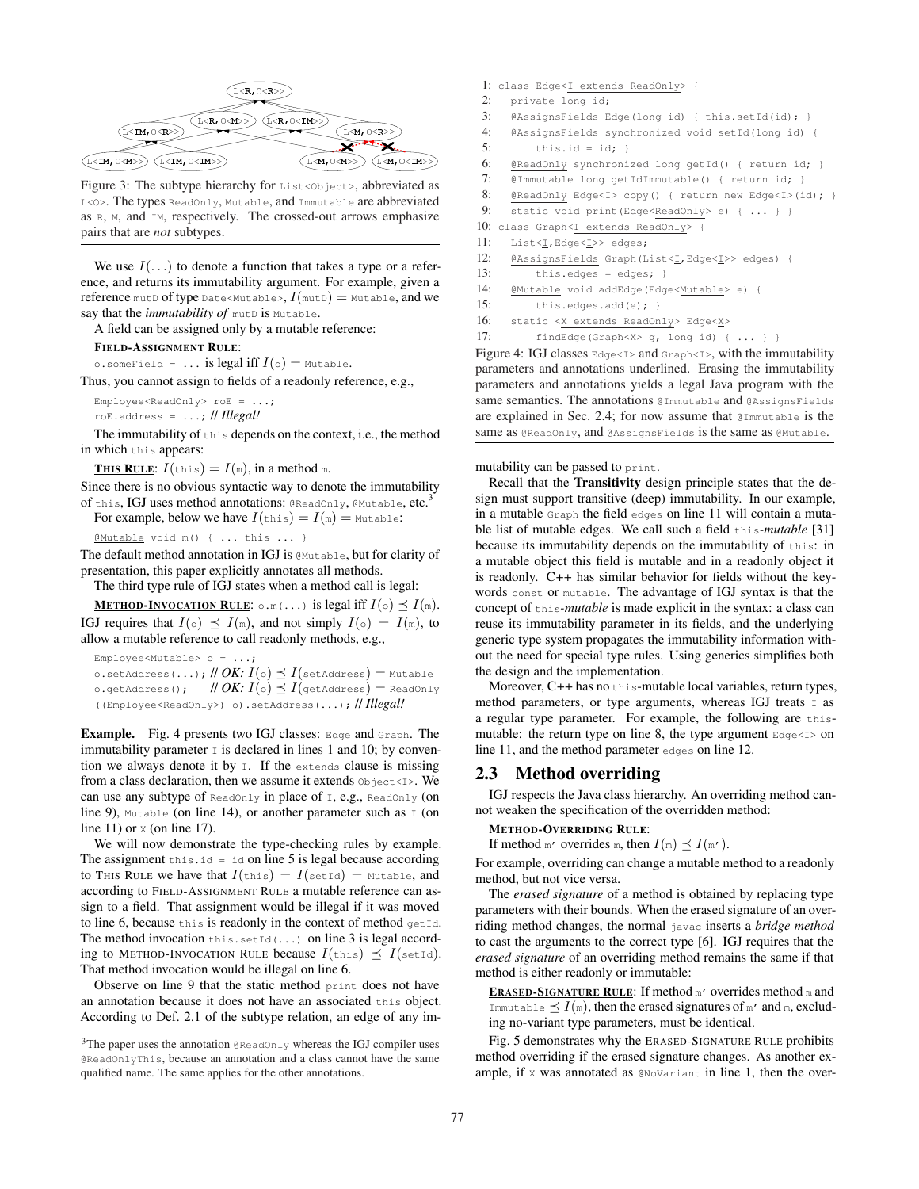

Figure 3: The subtype hierarchy for List<Object>, abbreviated as L<O>. The types ReadOnly, Mutable, and Immutable are abbreviated as R, M, and IM, respectively. The crossed-out arrows emphasize pairs that are *not* subtypes.

We use  $I(\ldots)$  to denote a function that takes a type or a reference, and returns its immutability argument. For example, given a reference mutD of type Date<Mutable>,  $I(murb)$  = Mutable, and we say that the *immutability of* mutD is Mutable.

A field can be assigned only by a mutable reference:

FIELD-ASSIGNMENT RULE:

o.someField = ... is legal iff  $I(\circ) =$  Mutable.

Thus, you cannot assign to fields of a readonly reference, e.g.,

Employee<ReadOnly> roE = ...; roE.address = ...; // *Illegal!*

The immutability of this depends on the context, i.e., the method in which this appears:

**THIS RULE:**  $I(\text{this}) = I(\text{m})$ , in a method m.

Since there is no obvious syntactic way to denote the immutability of this, IGJ uses method annotations: @ReadOnly, @Mutable, etc.<sup>3</sup>

For example, below we have  $I(\text{this}) = I(m) = \text{Mutable}:$ 

@Mutable void m() { ... this ... }

The default method annotation in IGJ is @Mutable, but for clarity of presentation, this paper explicitly annotates all methods.

The third type rule of IGJ states when a method call is legal:

**METHOD-INVOCATION RULE:**  $\circ$ .m(...) is legal iff  $I(\circ) \preceq I(\mathfrak{m})$ . IGJ requires that  $I(\circ) \preceq I(\mathfrak{m})$ , and not simply  $I(\circ) = I(\mathfrak{m})$ , to allow a mutable reference to call readonly methods, e.g.,

Employee<Mutable> o = ...;

o.setAddress(...);  $\|\theta X: I(\circ) \leq I(\text{setAddress}) = \text{Mutable}$ o.getAddress();  $\angle I(\text{OK: } I(\text{o}) \leq I(\text{getAddress}) = \text{ReadOnly}$ ((Employee<ReadOnly>) o).setAddress(...); // *Illegal!*

Example. Fig. 4 presents two IGJ classes: Edge and Graph. The immutability parameter  $\text{I}$  is declared in lines 1 and 10; by convention we always denote it by I. If the extends clause is missing from a class declaration, then we assume it extends  $\circ$ bject<I>. We can use any subtype of ReadOnly in place of I, e.g., ReadOnly (on line 9), Mutable (on line 14), or another parameter such as  $\sigma$  (on line 11) or  $\times$  (on line 17).

We will now demonstrate the type-checking rules by example. The assignment this.id = id on line 5 is legal because according to THIS RULE we have that  $I(\text{this}) = I(\text{setId}) = \text{Mutable}$ , and according to FIELD-ASSIGNMENT RULE a mutable reference can assign to a field. That assignment would be illegal if it was moved to line 6, because this is readonly in the context of method getId. The method invocation this.setId(...) on line 3 is legal according to METHOD-INVOCATION RULE because  $I(\text{this}) \prec I(\text{setId})$ . That method invocation would be illegal on line 6.

Observe on line 9 that the static method print does not have an annotation because it does not have an associated this object. According to Def. 2.1 of the subtype relation, an edge of any im1: class Edge<I extends ReadOnly> {

- 2: private long id;
- 3: @AssignsFields Edge(long id) { this.setId(id); }
- 4: @AssignsFields synchronized void setId(long id) {
- 5: this.id = id;  $}$
- 6: @ReadOnly synchronized long getId() { return id; }
- 7: @Immutable long getIdImmutable() { return id; }
- 8: @ReadOnly Edge<I> copy() { return new Edge<I>(id); }
- 9: static void print (Edge<ReadOnly> e) { ... } }
- 10: class Graph<I extends ReadOnly> {
- 11: List<I, Edge<I>> edges;

12: @AssignsFields Graph(List<I,Edge<I>> edges) {

- 13: this.edges = edges; }
- 14: @Mutable void addEdge(Edge<Mutable> e) {
- 15: this.edges.add(e); }
- 16: static <X extends ReadOnly> Edge<X>

17: findEdge(Graph< $\underline{X}$ > g, long id) { ... } }

Figure 4: IGJ classes  $E \cdot \text{deg}(-1)$  and  $G \cdot E \cdot \text{deg}(-1)$ , with the immutability parameters and annotations underlined. Erasing the immutability parameters and annotations yields a legal Java program with the same semantics. The annotations @Immutable and @AssignsFields are explained in Sec. 2.4; for now assume that @Immutable is the same as @ReadOnly, and @AssignsFields is the same as @Mutable.

mutability can be passed to print.

Recall that the Transitivity design principle states that the design must support transitive (deep) immutability. In our example, in a mutable Graph the field edges on line 11 will contain a mutable list of mutable edges. We call such a field this*-mutable* [31] because its immutability depends on the immutability of this: in a mutable object this field is mutable and in a readonly object it is readonly. C++ has similar behavior for fields without the keywords const or mutable. The advantage of IGJ syntax is that the concept of this*-mutable* is made explicit in the syntax: a class can reuse its immutability parameter in its fields, and the underlying generic type system propagates the immutability information without the need for special type rules. Using generics simplifies both the design and the implementation.

Moreover,  $C_{++}$  has no this-mutable local variables, return types, method parameters, or type arguments, whereas IGJ treats I as a regular type parameter. For example, the following are thismutable: the return type on line 8, the type argument  $E \text{d}g \in \{1\}$  on line 11, and the method parameter edges on line 12.

#### 2.3 Method overriding

IGJ respects the Java class hierarchy. An overriding method cannot weaken the specification of the overridden method:

#### METHOD-OVERRIDING RULE:

If method m' overrides m, then  $I(m) \preceq I(m')$ .

For example, overriding can change a mutable method to a readonly method, but not vice versa.

The *erased signature* of a method is obtained by replacing type parameters with their bounds. When the erased signature of an overriding method changes, the normal javac inserts a *bridge method* to cast the arguments to the correct type [6]. IGJ requires that the *erased signature* of an overriding method remains the same if that method is either readonly or immutable:

ERASED-SIGNATURE RULE: If method m' overrides method m and Immutable  $\prec I(m)$ , then the erased signatures of m' and m, excluding no-variant type parameters, must be identical.

Fig. 5 demonstrates why the ERASED-SIGNATURE RULE prohibits method overriding if the erased signature changes. As another example, if  $x$  was annotated as  $@Novariant$  in line 1, then the over-

<sup>3</sup>The paper uses the annotation @ReadOnly whereas the IGJ compiler uses @ReadOnlyThis, because an annotation and a class cannot have the same qualified name. The same applies for the other annotations.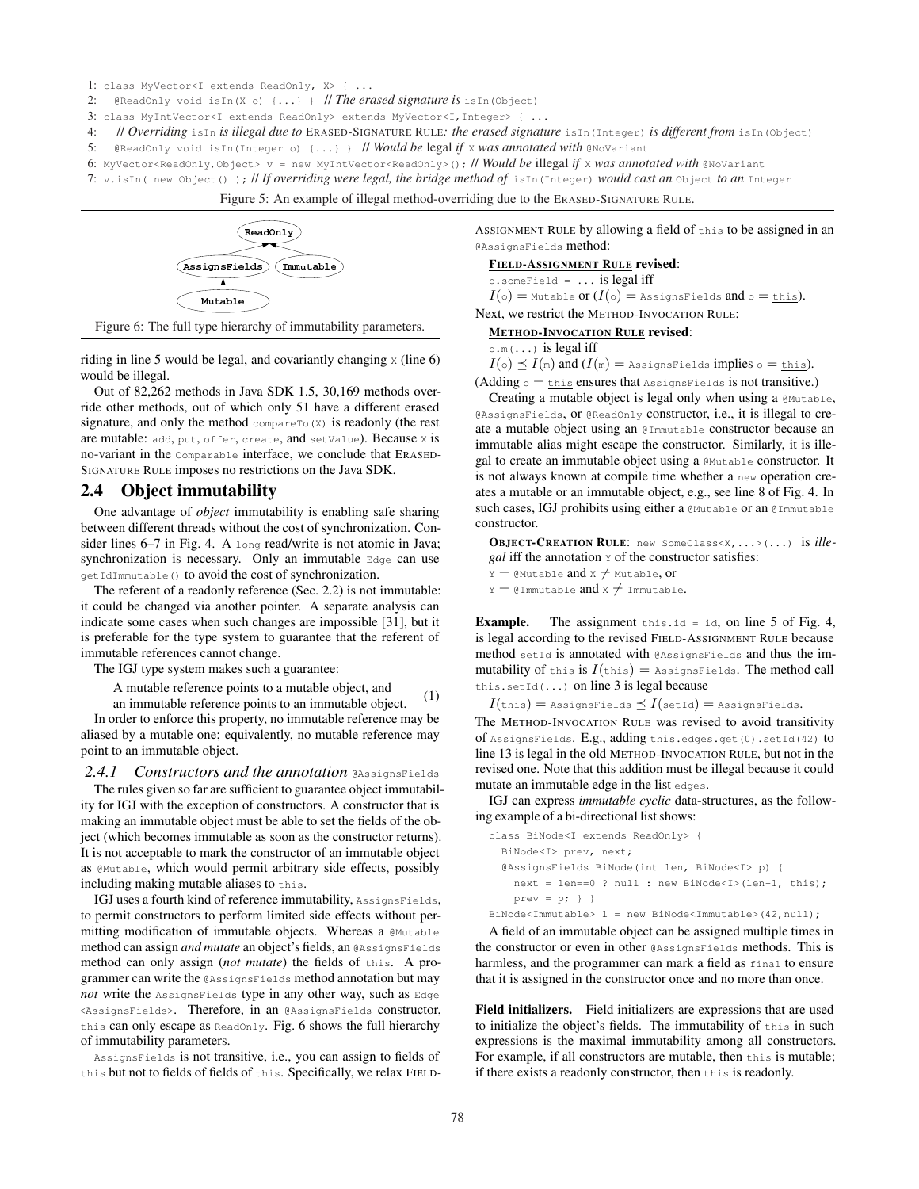1: class MyVector<I extends ReadOnly, X> { ...

2: @ReadOnly void isIn(X o) {...} } // *The erased signature is* isIn(Object)

3: class MyIntVector<I extends ReadOnly> extends MyVector<I,Integer> { ...

4: // *Overriding* isIn *is illegal due to* ERASED-SIGNATURE RULE*: the erased signature* isIn(Integer) *is different from* isIn(Object) 5: @ReadOnly void isIn(Integer o) {...} } // *Would be* legal *if* X *was annotated with* @NoVariant

6: MyVector<ReadOnly,Object> v = new MyIntVector<ReadOnly>(); // *Would be* illegal *if* X *was annotated with* @NoVariant

7: v.isIn( new Object() ); // *If overriding were legal, the bridge method of* isIn(Integer) *would cast an* Object *to an* Integer

Figure 5: An example of illegal method-overriding due to the ERASED-SIGNATURE RULE.



riding in line 5 would be legal, and covariantly changing  $\times$  (line 6) would be illegal.

Out of 82,262 methods in Java SDK 1.5, 30,169 methods override other methods, out of which only 51 have a different erased signature, and only the method  $\text{compareTo}(X)$  is readonly (the rest are mutable: add, put, offer, create, and setValue). Because x is no-variant in the Comparable interface, we conclude that ERASED-SIGNATURE RULE imposes no restrictions on the Java SDK.

#### 2.4 Object immutability

One advantage of *object* immutability is enabling safe sharing between different threads without the cost of synchronization. Consider lines 6–7 in Fig. 4. A long read/write is not atomic in Java; synchronization is necessary. Only an immutable Edge can use getIdImmutable() to avoid the cost of synchronization.

The referent of a readonly reference (Sec. 2.2) is not immutable: it could be changed via another pointer. A separate analysis can indicate some cases when such changes are impossible [31], but it is preferable for the type system to guarantee that the referent of immutable references cannot change.

The IGJ type system makes such a guarantee:

A mutable reference points to a mutable object, and an immutable reference points to an immutable object.  $(1)$ 

In order to enforce this property, no immutable reference may be aliased by a mutable one; equivalently, no mutable reference may point to an immutable object.

*2.4.1 Constructors and the annotation* @AssignsFields

The rules given so far are sufficient to guarantee object immutability for IGJ with the exception of constructors. A constructor that is making an immutable object must be able to set the fields of the object (which becomes immutable as soon as the constructor returns). It is not acceptable to mark the constructor of an immutable object as @Mutable, which would permit arbitrary side effects, possibly including making mutable aliases to this.

IGJ uses a fourth kind of reference immutability, AssignsFields, to permit constructors to perform limited side effects without permitting modification of immutable objects. Whereas a @Mutable method can assign *and mutate* an object's fields, an @AssignsFields method can only assign (*not mutate*) the fields of this. A programmer can write the @AssignsFields method annotation but may *not* write the AssignsFields type in any other way, such as Edge <AssignsFields>. Therefore, in an @AssignsFields constructor, this can only escape as ReadOnly. Fig. 6 shows the full hierarchy of immutability parameters.

AssignsFields is not transitive, i.e., you can assign to fields of this but not to fields of fields of this. Specifically, we relax FIELD- ASSIGNMENT RULE by allowing a field of this to be assigned in an @AssignsFields method:

FIELD-ASSIGNMENT RULE revised:

o.someField = ... is legal iff

 $I(\circ)$  = Mutable **or**  $(I(\circ)$  = AssignsFields **and**  $\circ$  = this).

Next, we restrict the METHOD-INVOCATION RULE:

#### METHOD-INVOCATION RULE revised:

```
\circ.m(...) is legal iff
```
 $I(\circ) \preceq I(\mathfrak{m})$  and  $(I(\mathfrak{m}) =$  AssignsFields implies  $\circ =$  this).

(Adding  $o = \text{this}$  ensures that AssignsFields is not transitive.)

Creating a mutable object is legal only when using a @Mutable, @AssignsFields, or @ReadOnly constructor, i.e., it is illegal to create a mutable object using an @Immutable constructor because an immutable alias might escape the constructor. Similarly, it is illegal to create an immutable object using a @Mutable constructor. It is not always known at compile time whether a new operation creates a mutable or an immutable object, e.g., see line 8 of Fig. 4. In such cases, IGJ prohibits using either a @Mutable or an @Immutable constructor.

OBJECT-CREATION RULE: new SomeClass<X,...>(...) is *illegal* iff the annotation  $\gamma$  of the constructor satisfies:

 $Y = 0$ Mutable **and**  $X \neq$  Mutable, **or** 

 $Y = 0$  Immutable **and**  $X \neq 1$ mmutable.

**Example.** The assignment this.id = id, on line 5 of Fig. 4, is legal according to the revised FIELD-ASSIGNMENT RULE because method setId is annotated with @AssignsFields and thus the immutability of this is  $I(\text{this}) =$  AssignsFields. The method call this.setId(...) on line 3 is legal because

 $I(\texttt{this}) = \texttt{AssignsFields} \preceq I(\texttt{setId}) = \texttt{AssignsFields}.$ 

The METHOD-INVOCATION RULE was revised to avoid transitivity of AssignsFields. E.g., adding this.edges.get(0).setId(42) to line 13 is legal in the old METHOD-INVOCATION RULE, but not in the revised one. Note that this addition must be illegal because it could mutate an immutable edge in the list edges.

IGJ can express *immutable cyclic* data-structures, as the following example of a bi-directional list shows:

```
class BiNode<I extends ReadOnly> {
  BiNode<I> prev, next;
  @AssignsFields BiNode(int len, BiNode<I> p) {
    next = len==0 ? null : new BiNode<I>(len-1, this);
   prev = p; } }
```
BiNode<Immutable> l = new BiNode<Immutable>(42,null);

A field of an immutable object can be assigned multiple times in the constructor or even in other @AssignsFields methods. This is harmless, and the programmer can mark a field as final to ensure that it is assigned in the constructor once and no more than once.

Field initializers. Field initializers are expressions that are used to initialize the object's fields. The immutability of this in such expressions is the maximal immutability among all constructors. For example, if all constructors are mutable, then this is mutable; if there exists a readonly constructor, then this is readonly.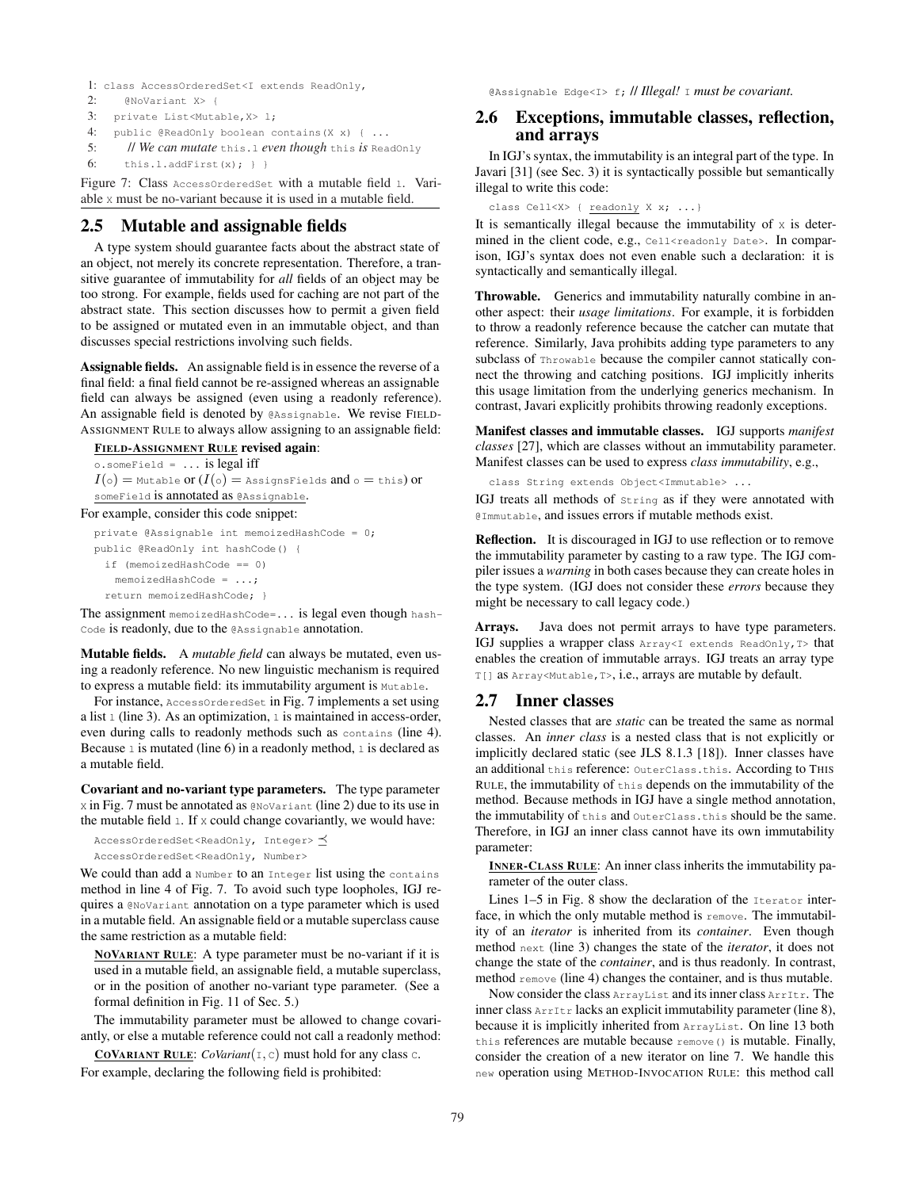1: class AccessOrderedSet<I extends ReadOnly,

- 2: @NoVariant X> {
- 3: private List<Mutable,X> l;
- 4: public @ReadOnly boolean contains(X x) { ...

```
5: // We can mutate this.l even though this is ReadOnly
```

```
6: this.l.addFirst(x); }} }
```
Figure 7: Class AccessOrderedSet with a mutable field 1. Variable X must be no-variant because it is used in a mutable field.

# 2.5 Mutable and assignable fields

A type system should guarantee facts about the abstract state of an object, not merely its concrete representation. Therefore, a transitive guarantee of immutability for *all* fields of an object may be too strong. For example, fields used for caching are not part of the abstract state. This section discusses how to permit a given field to be assigned or mutated even in an immutable object, and than discusses special restrictions involving such fields.

Assignable fields. An assignable field is in essence the reverse of a final field: a final field cannot be re-assigned whereas an assignable field can always be assigned (even using a readonly reference). An assignable field is denoted by @Assignable. We revise FIELD-ASSIGNMENT RULE to always allow assigning to an assignable field:

FIELD-ASSIGNMENT RULE revised again: o.someField = ... is legal iff  $I(\circ)$  = Mutable **or** ( $I(\circ)$  = AssignsFields **and**  $\circ$  = this) **or** someField is annotated as @Assignable.

#### For example, consider this code snippet:

private @Assignable int memoizedHashCode = 0; public @ReadOnly int hashCode() { if (memoizedHashCode == 0) memoizedHashCode = ...; return memoizedHashCode; }

The assignment memoizedHashCode=... is legal even though hash-Code is readonly, due to the @Assignable annotation.

Mutable fields. A *mutable field* can always be mutated, even using a readonly reference. No new linguistic mechanism is required to express a mutable field: its immutability argument is Mutable.

For instance, AccessOrderedSet in Fig. 7 implements a set using a list  $\perp$  (line 3). As an optimization,  $\perp$  is maintained in access-order, even during calls to readonly methods such as contains (line 4). Because  $\perp$  is mutated (line 6) in a readonly method,  $\perp$  is declared as a mutable field.

Covariant and no-variant type parameters. The type parameter  $x$  in Fig. 7 must be annotated as  $\omega_{\text{Newton}}$  (line 2) due to its use in the mutable field  $\perp$ . If x could change covariantly, we would have:

```
AccessOrderedSet<ReadOnly, Integer> \preceq
```

```
AccessOrderedSet<ReadOnly, Number>
```
We could than add a Number to an Integer list using the contains method in line 4 of Fig. 7. To avoid such type loopholes, IGJ requires a @NoVariant annotation on a type parameter which is used in a mutable field. An assignable field or a mutable superclass cause the same restriction as a mutable field:

NOVARIANT RULE: A type parameter must be no-variant if it is used in a mutable field, an assignable field, a mutable superclass, or in the position of another no-variant type parameter. (See a formal definition in Fig. 11 of Sec. 5.)

The immutability parameter must be allowed to change covariantly, or else a mutable reference could not call a readonly method:

**COVARIANT RULE:** *CoVariant*( $I, C$ ) must hold for any class  $C$ . For example, declaring the following field is prohibited:

@Assignable Edge<I> f; // *Illegal!* I *must be covariant.*

#### 2.6 Exceptions, immutable classes, reflection, and arrays

In IGJ's syntax, the immutability is an integral part of the type. In Javari [31] (see Sec. 3) it is syntactically possible but semantically illegal to write this code:

class Cell<X> { <u>readonly</u> X x; ...}

It is semantically illegal because the immutability of  $x$  is determined in the client code, e.g., Cell<readonly Date>. In comparison, IGJ's syntax does not even enable such a declaration: it is syntactically and semantically illegal.

Throwable. Generics and immutability naturally combine in another aspect: their *usage limitations*. For example, it is forbidden to throw a readonly reference because the catcher can mutate that reference. Similarly, Java prohibits adding type parameters to any subclass of Throwable because the compiler cannot statically connect the throwing and catching positions. IGJ implicitly inherits this usage limitation from the underlying generics mechanism. In contrast, Javari explicitly prohibits throwing readonly exceptions.

Manifest classes and immutable classes. IGJ supports *manifest classes* [27], which are classes without an immutability parameter. Manifest classes can be used to express *class immutability*, e.g.,

class String extends Object<Immutable> ...

IGJ treats all methods of String as if they were annotated with @Immutable, and issues errors if mutable methods exist.

Reflection. It is discouraged in IGJ to use reflection or to remove the immutability parameter by casting to a raw type. The IGJ compiler issues a *warning* in both cases because they can create holes in the type system. (IGJ does not consider these *errors* because they might be necessary to call legacy code.)

Arrays. Java does not permit arrays to have type parameters. IGJ supplies a wrapper class Array<I extends ReadOnly,T> that enables the creation of immutable arrays. IGJ treats an array type T[] as Array<Mutable,T>, i.e., arrays are mutable by default.

#### 2.7 Inner classes

Nested classes that are *static* can be treated the same as normal classes. An *inner class* is a nested class that is not explicitly or implicitly declared static (see JLS 8.1.3 [18]). Inner classes have an additional this reference: OuterClass.this. According to THIS RULE, the immutability of this depends on the immutability of the method. Because methods in IGJ have a single method annotation, the immutability of this and OuterClass.this should be the same. Therefore, in IGJ an inner class cannot have its own immutability parameter:

INNER-CLASS RULE: An inner class inherits the immutability parameter of the outer class.

Lines 1–5 in Fig. 8 show the declaration of the Iterator interface, in which the only mutable method is remove. The immutability of an *iterator* is inherited from its *container*. Even though method next (line 3) changes the state of the *iterator*, it does not change the state of the *container*, and is thus readonly. In contrast, method remove (line 4) changes the container, and is thus mutable.

Now consider the class ArrayList and its inner class ArrItr. The inner class  $Arrttr$  lacks an explicit immutability parameter (line 8), because it is implicitly inherited from ArrayList. On line 13 both this references are mutable because remove() is mutable. Finally, consider the creation of a new iterator on line 7. We handle this new operation using METHOD-INVOCATION RULE: this method call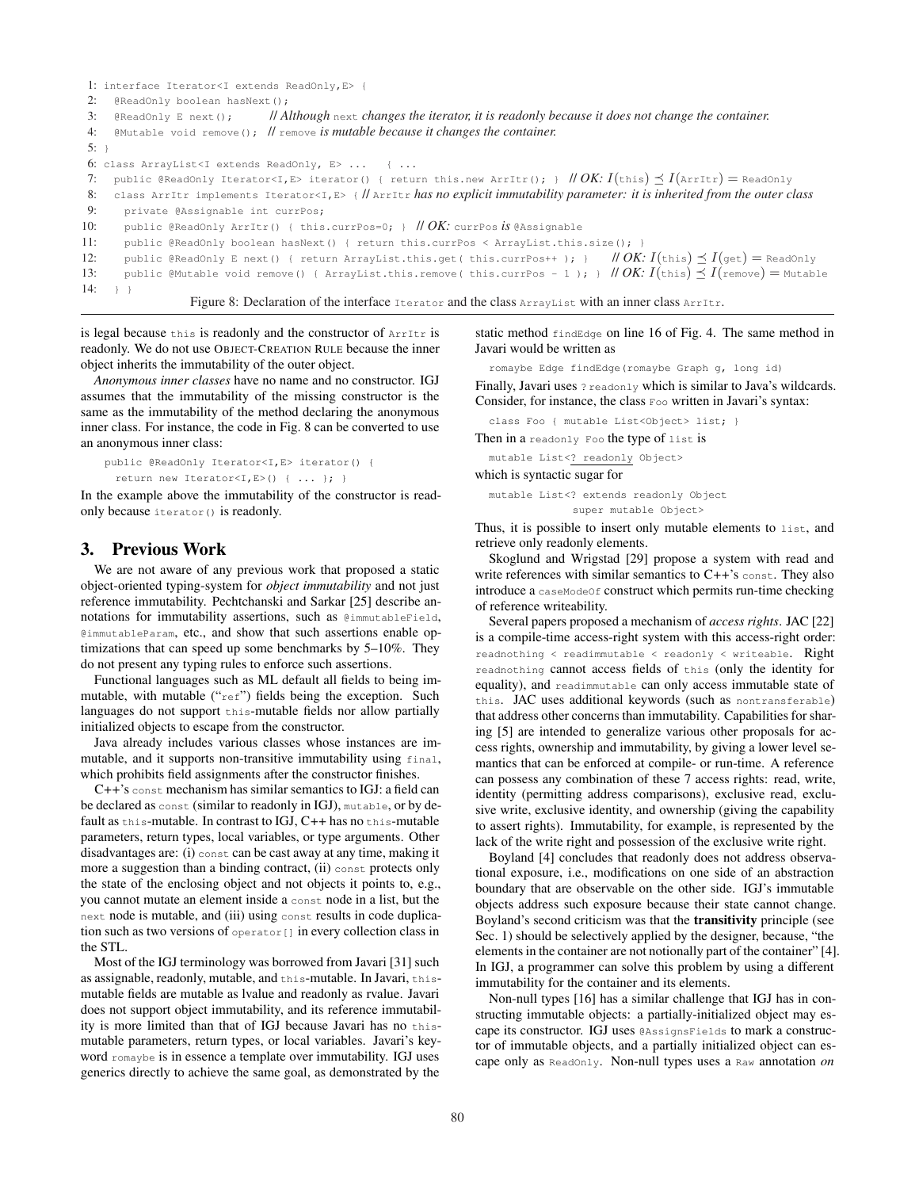```
1: interface Iterator<I extends ReadOnly,E> {
2: @ReadOnly boolean hasNext();
3: @ReadOnly E next(); // Although next changes the iterator, it is readonly because it does not change the container.
4: @Mutable void remove(); // remove is mutable because it changes the container.
5: }
6: class ArrayList<I extends ReadOnly, E> ... { ...
7: public @ReadOnly Iterator<I,E> iterator() { return this.new ArrItr(); } \parallel OK: I(\text{this}) \preceq I(\text{ArrItr}) = \text{ReadOnly}8: class ArrItr implements Iterator<I,E> { // ArrItr has no explicit immutability parameter: it is inherited from the outer class
9: private @Assignable int currPos;
10: public @ReadOnly ArrItr() { this.currPos=0; } // OK: currPos is @Assignable
11: public @ReadOnly boolean hasNext() { return this.currPos < ArrayList.this.size(); }
12: public @ReadOnly E next() { return ArrayList.this.get( this.currPos++ ); } // OK: I(\text{this}) \preceq I(\text{get}) = \text{ReadOnly}13: public @Mutable void remove() { ArrayList.this.remove( this.currPos - 1 ); } // OK: I(\text{this}) \preceq I(\text{remove}) = \text{Mutable}14: \rightarrow \rightarrowFigure 8: Declaration of the interface Iterator and the class ArrayList with an inner class ArrItr.
```
is legal because this is readonly and the constructor of ArrItr is readonly. We do not use OBJECT-CREATION RULE because the inner object inherits the immutability of the outer object.

*Anonymous inner classes* have no name and no constructor. IGJ assumes that the immutability of the missing constructor is the same as the immutability of the method declaring the anonymous inner class. For instance, the code in Fig. 8 can be converted to use an anonymous inner class:

```
public @ReadOnly Iterator<I,E> iterator() {
 return new Iterator<I,E>() { ... }; }
```
In the example above the immutability of the constructor is readonly because iterator() is readonly.

### 3. Previous Work

We are not aware of any previous work that proposed a static object-oriented typing-system for *object immutability* and not just reference immutability. Pechtchanski and Sarkar [25] describe annotations for immutability assertions, such as @immutableField, @immutableParam, etc., and show that such assertions enable optimizations that can speed up some benchmarks by 5–10%. They do not present any typing rules to enforce such assertions.

Functional languages such as ML default all fields to being immutable, with mutable ("ref") fields being the exception. Such languages do not support this-mutable fields nor allow partially initialized objects to escape from the constructor.

Java already includes various classes whose instances are immutable, and it supports non-transitive immutability using final, which prohibits field assignments after the constructor finishes.

C++'s const mechanism has similar semantics to IGJ: a field can be declared as const (similar to readonly in IGJ), mutable, or by default as this-mutable. In contrast to IGJ,  $C_{++}$  has no this-mutable parameters, return types, local variables, or type arguments. Other disadvantages are: (i) const can be cast away at any time, making it more a suggestion than a binding contract, (ii) const protects only the state of the enclosing object and not objects it points to, e.g., you cannot mutate an element inside a const node in a list, but the next node is mutable, and (iii) using const results in code duplication such as two versions of operator[] in every collection class in the STL.

Most of the IGJ terminology was borrowed from Javari [31] such as assignable, readonly, mutable, and this-mutable. In Javari, thismutable fields are mutable as lvalue and readonly as rvalue. Javari does not support object immutability, and its reference immutability is more limited than that of IGJ because Javari has no thismutable parameters, return types, or local variables. Javari's keyword romaybe is in essence a template over immutability. IGJ uses generics directly to achieve the same goal, as demonstrated by the static method findEdge on line 16 of Fig. 4. The same method in Javari would be written as

romaybe Edge findEdge(romaybe Graph g, long id) Finally, Javari uses ? readonly which is similar to Java's wildcards. Consider, for instance, the class Foo written in Javari's syntax:

class Foo { mutable List<Object> list; }

Then in a readonly Foo the type of list is

mutable List<? readonly Object>

which is syntactic sugar for

mutable List<? extends readonly Object super mutable Object>

Thus, it is possible to insert only mutable elements to list, and retrieve only readonly elements.

Skoglund and Wrigstad [29] propose a system with read and write references with similar semantics to C++'s const. They also introduce a caseModeOf construct which permits run-time checking of reference writeability.

Several papers proposed a mechanism of *access rights*. JAC [22] is a compile-time access-right system with this access-right order: readnothing < readimmutable < readonly < writeable. Right readnothing cannot access fields of this (only the identity for equality), and readimmutable can only access immutable state of this. JAC uses additional keywords (such as nontransferable) that address other concerns than immutability. Capabilities for sharing [5] are intended to generalize various other proposals for access rights, ownership and immutability, by giving a lower level semantics that can be enforced at compile- or run-time. A reference can possess any combination of these 7 access rights: read, write, identity (permitting address comparisons), exclusive read, exclusive write, exclusive identity, and ownership (giving the capability to assert rights). Immutability, for example, is represented by the lack of the write right and possession of the exclusive write right.

Boyland [4] concludes that readonly does not address observational exposure, i.e., modifications on one side of an abstraction boundary that are observable on the other side. IGJ's immutable objects address such exposure because their state cannot change. Boyland's second criticism was that the transitivity principle (see Sec. 1) should be selectively applied by the designer, because, "the elements in the container are not notionally part of the container" [4]. In IGJ, a programmer can solve this problem by using a different immutability for the container and its elements.

Non-null types [16] has a similar challenge that IGJ has in constructing immutable objects: a partially-initialized object may escape its constructor. IGJ uses @AssignsFields to mark a constructor of immutable objects, and a partially initialized object can escape only as ReadOnly. Non-null types uses a Raw annotation *on*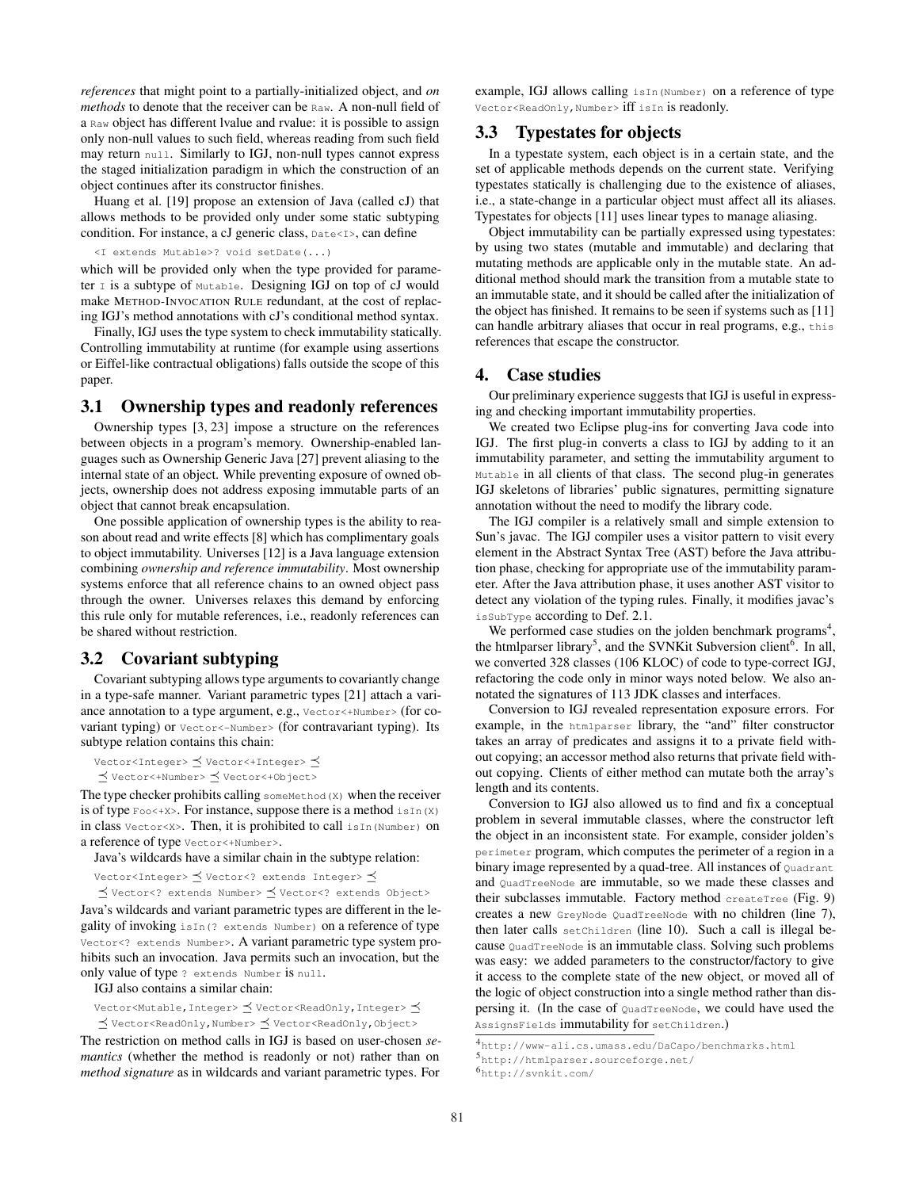*references* that might point to a partially-initialized object, and *on methods* to denote that the receiver can be Raw. A non-null field of a Raw object has different lvalue and rvalue: it is possible to assign only non-null values to such field, whereas reading from such field may return null. Similarly to IGJ, non-null types cannot express the staged initialization paradigm in which the construction of an object continues after its constructor finishes.

Huang et al. [19] propose an extension of Java (called cJ) that allows methods to be provided only under some static subtyping condition. For instance, a cJ generic class, Date<I>, can define

```
<I extends Mutable>? void setDate(...)
```
which will be provided only when the type provided for parameter  $I$  is a subtype of Mutable. Designing IGJ on top of cJ would make METHOD-INVOCATION RULE redundant, at the cost of replacing IGJ's method annotations with cJ's conditional method syntax.

Finally, IGJ uses the type system to check immutability statically. Controlling immutability at runtime (for example using assertions or Eiffel-like contractual obligations) falls outside the scope of this paper.

# 3.1 Ownership types and readonly references

Ownership types [3, 23] impose a structure on the references between objects in a program's memory. Ownership-enabled languages such as Ownership Generic Java [27] prevent aliasing to the internal state of an object. While preventing exposure of owned objects, ownership does not address exposing immutable parts of an object that cannot break encapsulation.

One possible application of ownership types is the ability to reason about read and write effects [8] which has complimentary goals to object immutability. Universes [12] is a Java language extension combining *ownership and reference immutability*. Most ownership systems enforce that all reference chains to an owned object pass through the owner. Universes relaxes this demand by enforcing this rule only for mutable references, i.e., readonly references can be shared without restriction.

# 3.2 Covariant subtyping

Covariant subtyping allows type arguments to covariantly change in a type-safe manner. Variant parametric types [21] attach a variance annotation to a type argument, e.g., Vector<+Number> (for covariant typing) or Vector<-Number> (for contravariant typing). Its subtype relation contains this chain:

```
Vector<Integer> \preceq Vector<+Integer> \preceq¹ Vector<+Number> ¹ Vector<+Object>
```
The type checker prohibits calling  $s$  ome Method(X) when the receiver is of type  $F \circ \circ \leftrightarrow X$ . For instance, suppose there is a method  $\exists \sin(X)$ in class Vector<X>. Then, it is prohibited to call isIn(Number) on a reference of type Vector<+Number>.

Java's wildcards have a similar chain in the subtype relation:

```
Vector<Integer> \preceq Vector<? extends Integer> \preceq
```
 $\preceq$  Vector<? extends Number>  $\preceq$  Vector<? extends Object>

Java's wildcards and variant parametric types are different in the legality of invoking isIn(? extends Number) on a reference of type Vector<? extends Number>. A variant parametric type system prohibits such an invocation. Java permits such an invocation, but the only value of type ? extends Number is null.

IGJ also contains a similar chain:

Vector<Mutable, Integer>  $\preceq$  Vector<ReadOnly, Integer>  $\preceq$  $\preceq$  Vector<ReadOnly, Number>  $\preceq$  Vector<ReadOnly, Object>

The restriction on method calls in IGJ is based on user-chosen *semantics* (whether the method is readonly or not) rather than on *method signature* as in wildcards and variant parametric types. For

example, IGJ allows calling isIn(Number) on a reference of type Vector<ReadOnly,Number> iff isIn is readonly.

# 3.3 Typestates for objects

In a typestate system, each object is in a certain state, and the set of applicable methods depends on the current state. Verifying typestates statically is challenging due to the existence of aliases, i.e., a state-change in a particular object must affect all its aliases. Typestates for objects [11] uses linear types to manage aliasing.

Object immutability can be partially expressed using typestates: by using two states (mutable and immutable) and declaring that mutating methods are applicable only in the mutable state. An additional method should mark the transition from a mutable state to an immutable state, and it should be called after the initialization of the object has finished. It remains to be seen if systems such as [11] can handle arbitrary aliases that occur in real programs, e.g., this references that escape the constructor.

# 4. Case studies

Our preliminary experience suggests that IGJ is useful in expressing and checking important immutability properties.

We created two Eclipse plug-ins for converting Java code into IGJ. The first plug-in converts a class to IGJ by adding to it an immutability parameter, and setting the immutability argument to Mutable in all clients of that class. The second plug-in generates IGJ skeletons of libraries' public signatures, permitting signature annotation without the need to modify the library code.

The IGJ compiler is a relatively small and simple extension to Sun's javac. The IGJ compiler uses a visitor pattern to visit every element in the Abstract Syntax Tree (AST) before the Java attribution phase, checking for appropriate use of the immutability parameter. After the Java attribution phase, it uses another AST visitor to detect any violation of the typing rules. Finally, it modifies javac's isSubType according to Def. 2.1.

We performed case studies on the jolden benchmark programs<sup>4</sup>, the htmlparser library<sup>5</sup>, and the SVNKit Subversion client<sup>6</sup>. In all, we converted 328 classes (106 KLOC) of code to type-correct IGJ, refactoring the code only in minor ways noted below. We also annotated the signatures of 113 JDK classes and interfaces.

Conversion to IGJ revealed representation exposure errors. For example, in the htmlparser library, the "and" filter constructor takes an array of predicates and assigns it to a private field without copying; an accessor method also returns that private field without copying. Clients of either method can mutate both the array's length and its contents.

Conversion to IGJ also allowed us to find and fix a conceptual problem in several immutable classes, where the constructor left the object in an inconsistent state. For example, consider jolden's perimeter program, which computes the perimeter of a region in a binary image represented by a quad-tree. All instances of Quadrant and QuadTreeNode are immutable, so we made these classes and their subclasses immutable. Factory method createTree (Fig. 9) creates a new GreyNode QuadTreeNode with no children (line 7), then later calls setChildren (line 10). Such a call is illegal because QuadTreeNode is an immutable class. Solving such problems was easy: we added parameters to the constructor/factory to give it access to the complete state of the new object, or moved all of the logic of object construction into a single method rather than dispersing it. (In the case of QuadTreeNode, we could have used the AssignsFields immutability for setChildren.)

<sup>4</sup>http://www-ali.cs.umass.edu/DaCapo/benchmarks.html <sup>5</sup>http://htmlparser.sourceforge.net/

<sup>6</sup>http://svnkit.com/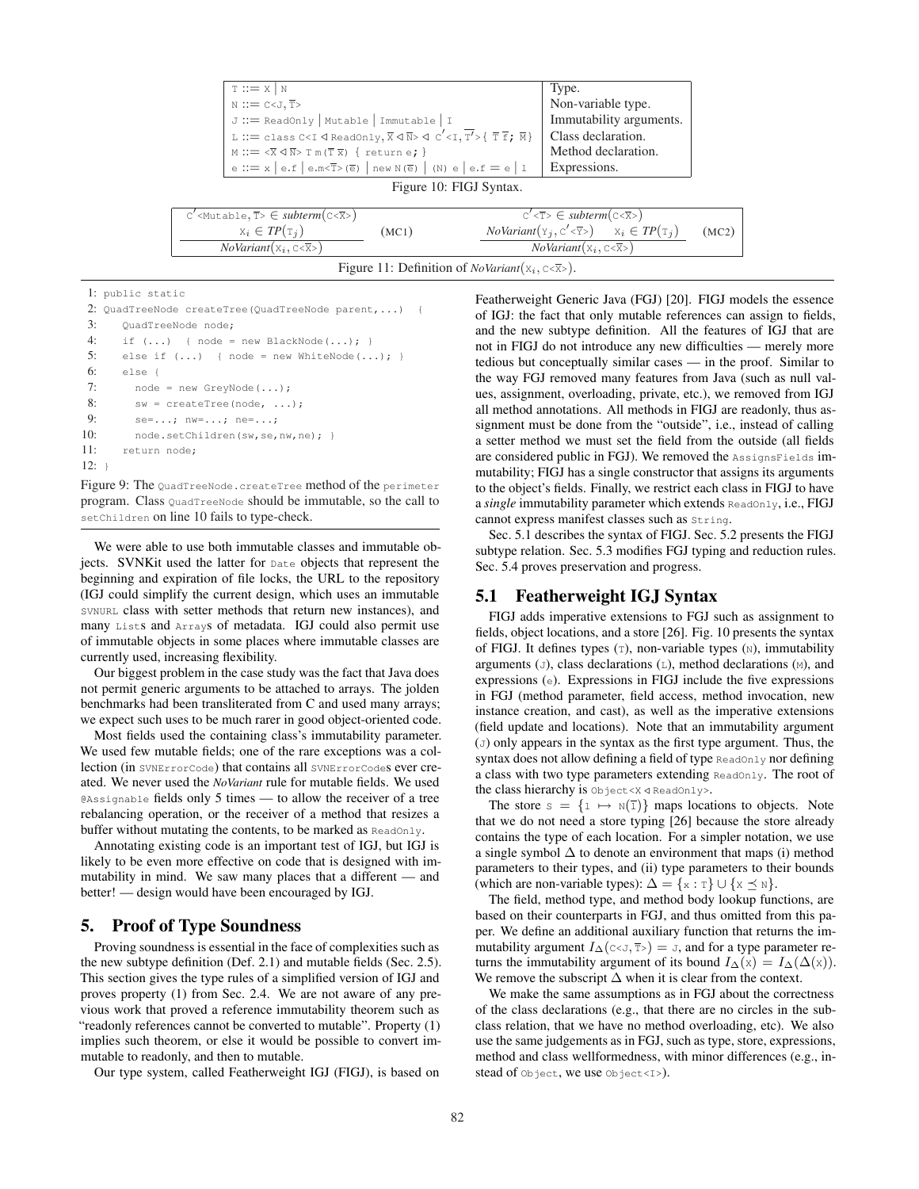

1: public static

|                   | 2: QuadTreeNode createTree(QuadTreeNode parent,) { |  |
|-------------------|----------------------------------------------------|--|
| 3:                | QuadTreeNode node;                                 |  |
| 4:                | if $()$ { node = new BlackNode(); }                |  |
| 5:                | else if $( \ldots )$ { node = new WhiteNode(); }   |  |
| 6:                | else {                                             |  |
| 7:                | $node = new GreyNode())$                           |  |
| 8:                | $sw = createTree(node, ,);$                        |  |
| 9:                | $se=$ ; $nw=$ ; $ne=$ ;                            |  |
| 10:               | node.setChildren(sw,se,nw,ne); }                   |  |
| 11:               | return node;                                       |  |
| $12: \rightarrow$ |                                                    |  |

Figure 9: The QuadTreeNode.createTree method of the perimeter program. Class QuadTreeNode should be immutable, so the call to setChildren on line 10 fails to type-check.

We were able to use both immutable classes and immutable objects. SVNKit used the latter for Date objects that represent the beginning and expiration of file locks, the URL to the repository (IGJ could simplify the current design, which uses an immutable SVNURL class with setter methods that return new instances), and many Lists and Arrays of metadata. IGJ could also permit use of immutable objects in some places where immutable classes are currently used, increasing flexibility.

Our biggest problem in the case study was the fact that Java does not permit generic arguments to be attached to arrays. The jolden benchmarks had been transliterated from C and used many arrays; we expect such uses to be much rarer in good object-oriented code.

Most fields used the containing class's immutability parameter. We used few mutable fields; one of the rare exceptions was a collection (in SVNErrorCode) that contains all SVNErrorCodes ever created. We never used the *NoVariant* rule for mutable fields. We used @Assignable fields only 5 times — to allow the receiver of a tree rebalancing operation, or the receiver of a method that resizes a buffer without mutating the contents, to be marked as ReadOnly.

Annotating existing code is an important test of IGJ, but IGJ is likely to be even more effective on code that is designed with immutability in mind. We saw many places that a different — and better! — design would have been encouraged by IGJ.

## 5. Proof of Type Soundness

Proving soundness is essential in the face of complexities such as the new subtype definition (Def. 2.1) and mutable fields (Sec. 2.5). This section gives the type rules of a simplified version of IGJ and proves property (1) from Sec. 2.4. We are not aware of any previous work that proved a reference immutability theorem such as "readonly references cannot be converted to mutable". Property (1) implies such theorem, or else it would be possible to convert immutable to readonly, and then to mutable.

Our type system, called Featherweight IGJ (FIGJ), is based on

Featherweight Generic Java (FGJ) [20]. FIGJ models the essence of IGJ: the fact that only mutable references can assign to fields, and the new subtype definition. All the features of IGJ that are not in FIGJ do not introduce any new difficulties — merely more tedious but conceptually similar cases — in the proof. Similar to the way FGJ removed many features from Java (such as null values, assignment, overloading, private, etc.), we removed from IGJ all method annotations. All methods in FIGJ are readonly, thus assignment must be done from the "outside", i.e., instead of calling a setter method we must set the field from the outside (all fields are considered public in FGJ). We removed the AssignsFields immutability; FIGJ has a single constructor that assigns its arguments to the object's fields. Finally, we restrict each class in FIGJ to have a *single* immutability parameter which extends ReadOnly, i.e., FIGJ cannot express manifest classes such as String.

Sec. 5.1 describes the syntax of FIGJ. Sec. 5.2 presents the FIGJ subtype relation. Sec. 5.3 modifies FGJ typing and reduction rules. Sec. 5.4 proves preservation and progress.

#### 5.1 Featherweight IGJ Syntax

FIGJ adds imperative extensions to FGJ such as assignment to fields, object locations, and a store [26]. Fig. 10 presents the syntax of FIGJ. It defines types  $(T)$ , non-variable types  $(N)$ , immutability arguments  $(J)$ , class declarations  $(L)$ , method declarations  $(M)$ , and expressions (e). Expressions in FIGJ include the five expressions in FGJ (method parameter, field access, method invocation, new instance creation, and cast), as well as the imperative extensions (field update and locations). Note that an immutability argument  $J$ ) only appears in the syntax as the first type argument. Thus, the syntax does not allow defining a field of type ReadOnly nor defining a class with two type parameters extending ReadOnly. The root of the class hierarchy is Object<X < ReadOnly>.

The store  $s = \{1 \mapsto N(\overline{1})\}$  maps locations to objects. Note that we do not need a store typing [26] because the store already contains the type of each location. For a simpler notation, we use a single symbol ∆ to denote an environment that maps (i) method parameters to their types, and (ii) type parameters to their bounds (which are non-variable types):  $\Delta = \{x : \tau\} \cup \{x \leq \mathbb{N}\}.$ 

The field, method type, and method body lookup functions, are based on their counterparts in FGJ, and thus omitted from this paper. We define an additional auxiliary function that returns the immutability argument  $I_{\Delta}(c \leq J, \overline{T} \geq) = J$ , and for a type parameter returns the immutability argument of its bound  $I_{\Delta}(x) = I_{\Delta}(\Delta(x))$ . We remove the subscript  $\Delta$  when it is clear from the context.

We make the same assumptions as in FGJ about the correctness of the class declarations (e.g., that there are no circles in the subclass relation, that we have no method overloading, etc). We also use the same judgements as in FGJ, such as type, store, expressions, method and class wellformedness, with minor differences (e.g., instead of Object, we use Object<I>).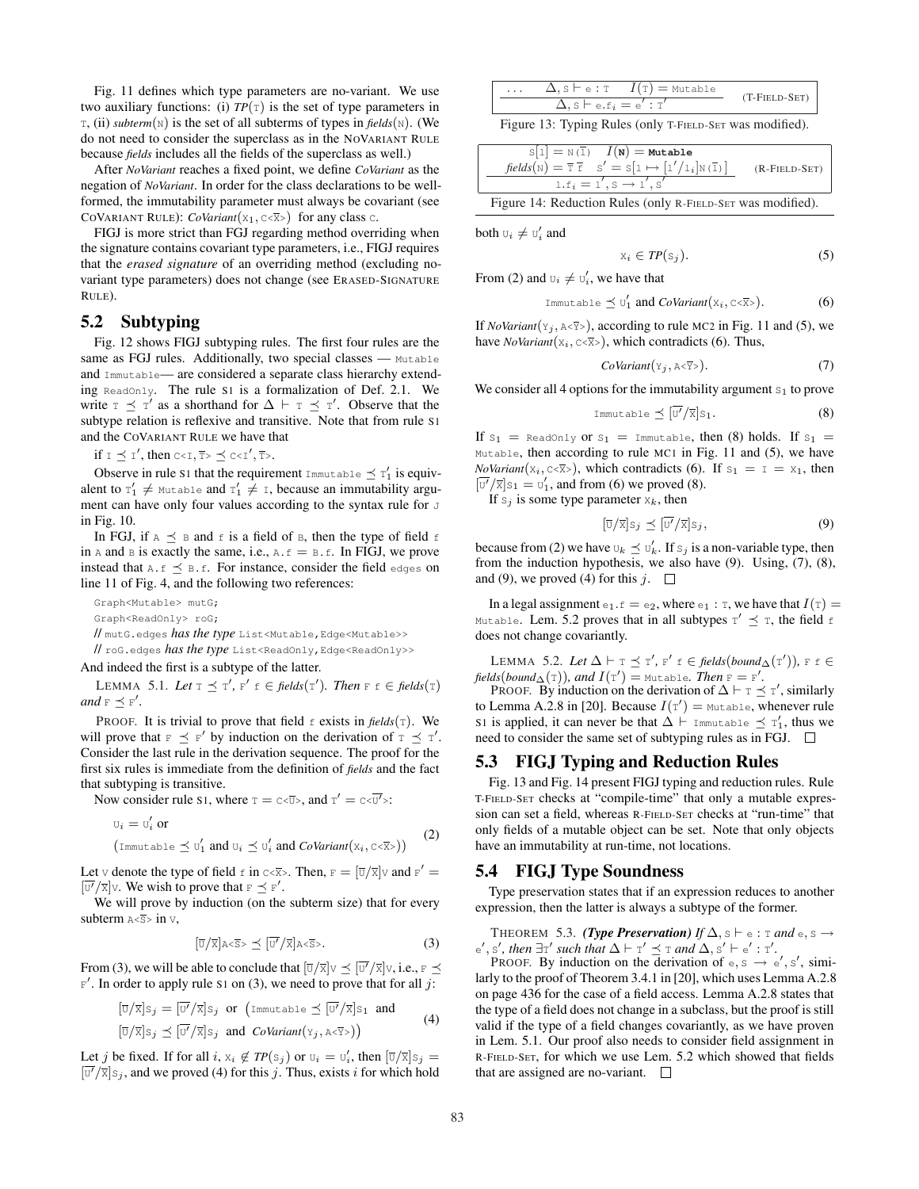Fig. 11 defines which type parameters are no-variant. We use two auxiliary functions: (i)  $TP(\text{t})$  is the set of type parameters in  $T$ , (ii) *subterm*(N) is the set of all subterms of types in *fields*(N). (We do not need to consider the superclass as in the NOVARIANT RULE because *fields* includes all the fields of the superclass as well.)

After *NoVariant* reaches a fixed point, we define *CoVariant* as the negation of *NoVariant*. In order for the class declarations to be wellformed, the immutability parameter must always be covariant (see COVARIANT RULE): *CoVariant* $(x_1, c \le x)$  for any class c.

FIGJ is more strict than FGJ regarding method overriding when the signature contains covariant type parameters, i.e., FIGJ requires that the *erased signature* of an overriding method (excluding novariant type parameters) does not change (see ERASED-SIGNATURE RULE).

## 5.2 Subtyping

Fig. 12 shows FIGJ subtyping rules. The first four rules are the same as FGJ rules. Additionally, two special classes - Mutable and Immutable— are considered a separate class hierarchy extending ReadOnly. The rule S1 is a formalization of Def. 2.1. We write  $\tau \preceq \tau'$  as a shorthand for  $\Delta \vdash \tau \preceq \tau'$ . Observe that the subtype relation is reflexive and transitive. Note that from rule S1 and the COVARIANT RULE we have that

if  $I \preceq I'$ , then  $C < I$ ,  $\overline{T} > \preceq C < I'$ ,  $\overline{T} >$ .

Observe in rule S1 that the requirement Immutable  $\preceq$  T'<sub>1</sub> is equivalent to  $T_1 \neq$  Mutable and  $T_1 \neq I$ , because an immutability argument can have only four values according to the syntax rule for J in Fig. 10.

In FGJ, if  $A \preceq B$  and f is a field of B, then the type of field f in A and B is exactly the same, i.e.,  $A.f = B.f$ . In FIGJ, we prove instead that  $A.f \leq B.f.$  For instance, consider the field edges on line 11 of Fig. 4, and the following two references:

Graph<Mutable> mutG; Graph<ReadOnly> roG;

// mutG.edges *has the type* List<Mutable,Edge<Mutable>>

// roG.edges *has the type* List<ReadOnly,Edge<ReadOnly>>

#### And indeed the first is a subtype of the latter.

LEMMA 5.1. Let  $\texttt{T} \preceq \texttt{T}'$ ,  $\texttt{F}' \in \text{fields}(\texttt{T}')$ . Then  $\texttt{F} \in \text{fields}(\texttt{T})$ *and*  $\mathbf{F} \preceq \mathbf{F}'$ .

PROOF. It is trivial to prove that field  $\epsilon$  exists in *fields*( $\tau$ ). We will prove that  $F \preceq F'$  by induction on the derivation of  $T \preceq T'$ . Consider the last rule in the derivation sequence. The proof for the first six rules is immediate from the definition of *fields* and the fact that subtyping is transitive.

Now consider rule S1, where  $\tau = c \langle \overline{v} \rangle$ , and  $\tau' = c \langle \overline{v'} \rangle$ :

$$
v_i = v'_i \text{ or}
$$
  
(
$$
[mmutable \leq v'_1 \text{ and } v_i \leq v'_i \text{ and } Covariant(x_i, c < \overline{x}^>)
$$
) (2)

Let v denote the type of field  $\epsilon$  in  $c \le x$ . Then,  $\epsilon = [\overline{v}/\overline{x}]v$  and  $\epsilon' =$  $\left[\overline{U'}/\overline{X}\right]$ v. We wish to prove that  $F \preceq F'$ .

We will prove by induction (on the subterm size) that for every subterm  $A < \overline{S}$  in  $V$ ,

$$
[\overline{U}/\overline{X}]_{A<\overline{S}>\leq [\overline{U'}/\overline{X}]_{A<\overline{S}>}. \tag{3}
$$

From (3), we will be able to conclude that  $[\overline{u}/\overline{x}]_V \preceq [\overline{u'}/\overline{x}]_V$ , i.e.,  $_F \preceq$  $F'$ . In order to apply rule S<sub>1</sub> on (3), we need to prove that for all j:

$$
[\overline{v}/\overline{x}]s_j = [\overline{v'}/\overline{x}]s_j \text{ or } (\text{Immutable} \preceq [\overline{v'}/\overline{x}]s_1 \text{ and } (\overline{v}/\overline{x}]s_j \preceq [\overline{v'}/\overline{x}]s_j \text{ and } \text{Covariant}(x_j, \text{A} < \overline{v} >))
$$
\n(4)

Let *j* be fixed. If for all  $i, x_i \notin TP(s_j)$  or  $u_i = u'_i$ , then  $[\overline{u}/\overline{x}]s_j =$  $\overline{U'}/\overline{X}$  s<sub>j</sub>, and we proved (4) for this j. Thus, exists i for which hold

| $\cdots$ | $\Delta, s \vdash e : \tau$ $I(\tau) =$ Mutable | $(T$ -FIELD-SET) |
|----------|-------------------------------------------------|------------------|
|          | $\Delta$ , s $\vdash$ e. $f_i = e'$ : T'        |                  |

Figure 13: Typing Rules (only T-FIELD-SET was modified).

| $S[1] = N(\overline{1})$ $I(N) =$ Mutable                                                                                                                                                 |                  |  |  |
|-------------------------------------------------------------------------------------------------------------------------------------------------------------------------------------------|------------------|--|--|
| $\text{fields}(\mathbf{N}) = \overline{\mathbf{T}} \overline{\mathbf{f}} \quad \mathbf{s}' = \mathbf{s}[\mathbf{1} \mapsto [\mathbf{1}'/\mathbf{1}_i] \mathbf{N}(\overline{\mathbf{1}})]$ | $(R$ -FIELD-SET) |  |  |
| $1.f_i = 1', S \rightarrow 1', S'$                                                                                                                                                        |                  |  |  |
| Figure 14: Reduction Rules (only R-FIELD-SET was modified).                                                                                                                               |                  |  |  |

both  $\mathbf{u}_i \neq \mathbf{u}'_i$  and

$$
x_i \in TP(s_j). \tag{5}
$$

From (2) and  $\mathbf{u}_i \neq \mathbf{u}'_i$ , we have that

$$
\text{Immutable} \leq \mathbf{U}_1' \text{ and } \text{Covariant}(\mathbf{X}_i, \mathbf{C} < \overline{\mathbf{X}}). \tag{6}
$$

If *NoVariant*( $Y_i$ ,  $A \le Y$ ), according to rule MC2 in Fig. 11 and (5), we have *NoVariant* $(x_i, c \le \overline{x})$ , which contradicts (6). Thus,

$$
Covariant(\mathbf{Y}_j, \mathbf{A} < \overline{\mathbf{Y}}). \tag{7}
$$

We consider all 4 options for the immutability argument  $s_1$  to prove

$$
\text{Immutable} \leq [\overline{U'} / \overline{X}]s_1. \tag{8}
$$

If  $s_1$  = ReadOnly or  $s_1$  = Immutable, then (8) holds. If  $s_1$  = Mutable, then according to rule MC1 in Fig. 11 and (5), we have *NoVariant*( $X_i$ ,  $C \le \overline{X}$ ), which contradicts (6). If  $S_1 = I = X_1$ , then  $[\overline{U'}/\overline{X}]s_1 = U'_1$ , and from (6) we proved (8).

If  $s_j$  is some type parameter  $x_k$ , then

$$
[\overline{\mathbf{u}}/\overline{\mathbf{x}}] \mathbf{s}_j \preceq [\overline{\mathbf{u}}'/\overline{\mathbf{x}}] \mathbf{s}_j,\tag{9}
$$

because from (2) we have  $\mathbb{U}_k \preceq \mathbb{U}'_k$ . If  $\mathbb{S}_j$  is a non-variable type, then from the induction hypothesis, we also have (9). Using, (7), (8), and (9), we proved (4) for this  $j$ .  $\Box$ 

In a legal assignment  $e_1 \cdot f = e_2$ , where  $e_1 : T$ , we have that  $I(T) =$ Mutable. Lem. 5.2 proves that in all subtypes  $T' \preceq T$ , the field f does not change covariantly.

LEMMA 5.2. *Let*  $\Delta \vdash$   $\substack{T \leq T'$ ,  $\substack{F' \in \mathit{fields}(bound_{\Delta}(\substack{T'$ <sup> $\substack{F' \in \mathit{f} \in \mathit{f}$  (*bound*<sub> $\Delta}(\substack{T'$ <sup> $\substack{F \in \mathit{f} \in \mathit{f} \in \mathit{f} }}$ </sup></sub></sup>  $\mathit{fields}(bound_\Delta(\texttt{T}))$ *, and*  $I(\texttt{T}') = \texttt{Mutable}$ *. Then*  $\texttt{F} = \texttt{F}'.$ 

PROOF. By induction on the derivation of  $\Delta \vdash$   $\tau \preceq \tau'$ , similarly to Lemma A.2.8 in [20]. Because  $I(\tau') =$  Mutable, whenever rule S1 is applied, it can never be that  $\Delta$   $\vdash$  Immutable  $\preceq$  T'<sub>1</sub>, thus we need to consider the same set of subtyping rules as in FGJ.  $\Box$ 

#### 5.3 FIGJ Typing and Reduction Rules

Fig. 13 and Fig. 14 present FIGJ typing and reduction rules. Rule T-FIELD-SET checks at "compile-time" that only a mutable expression can set a field, whereas R-FIELD-SET checks at "run-time" that only fields of a mutable object can be set. Note that only objects have an immutability at run-time, not locations.

#### 5.4 FIGJ Type Soundness

Type preservation states that if an expression reduces to another expression, then the latter is always a subtype of the former.

THEOREM 5.3. *(Type Preservation) If*  $\Delta$ , s  $\vdash$  e :  $\text{T}$  *and* e, s  $\rightarrow$  $\mathbf{e}', \mathbf{s}'$ , then  $\exists \mathbf{t}'$  such that  $\Delta \vdash \mathbf{t}' \preceq \mathbf{t}$  and  $\Delta, \mathbf{s}' \vdash \mathbf{e}' : \mathbf{t}'.$ 

PROOF. By induction on the derivation of  $e, s \rightarrow e', s',$  similarly to the proof of Theorem 3.4.1 in [20], which uses Lemma A.2.8 on page 436 for the case of a field access. Lemma A.2.8 states that the type of a field does not change in a subclass, but the proof is still valid if the type of a field changes covariantly, as we have proven in Lem. 5.1. Our proof also needs to consider field assignment in R-FIELD-SET, for which we use Lem. 5.2 which showed that fields that are assigned are no-variant.  $\square$